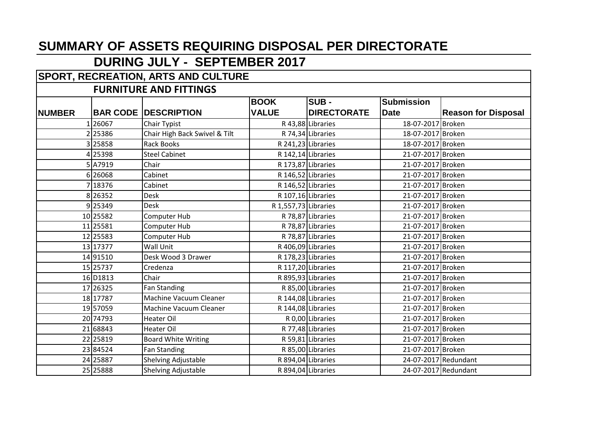## **DURING JULY - SEPTEMBER 2017**

## **SPORT, RECREATION, ARTS AND CULTURE**

#### **FURNITURE AND FITTINGS**

|               |          |                               | <b>BOOK</b>          | <b>SUB-</b>        | <b>Submission</b>    |                            |
|---------------|----------|-------------------------------|----------------------|--------------------|----------------------|----------------------------|
| <b>NUMBER</b> |          | <b>BAR CODE   DESCRIPTION</b> | <b>VALUE</b>         | <b>DIRECTORATE</b> | <b>Date</b>          | <b>Reason for Disposal</b> |
|               | 126067   | Chair Typist                  |                      | R 43,88 Libraries  | 18-07-2017 Broken    |                            |
|               | 2 25386  | Chair High Back Swivel & Tilt |                      | R 74,34 Libraries  | 18-07-2017 Broken    |                            |
|               | 25858    | <b>Rack Books</b>             |                      | R 241,23 Libraries | 18-07-2017 Broken    |                            |
|               | 4 25398  | <b>Steel Cabinet</b>          |                      | R 142,14 Libraries | 21-07-2017 Broken    |                            |
|               | 5A7919   | Chair                         |                      | R 173,87 Libraries | 21-07-2017 Broken    |                            |
|               | 6 26068  | Cabinet                       |                      | R 146,52 Libraries | 21-07-2017 Broken    |                            |
|               | 7 18376  | Cabinet                       |                      | R 146,52 Libraries | 21-07-2017 Broken    |                            |
|               | 8 26352  | <b>Desk</b>                   |                      | R 107,16 Libraries | 21-07-2017 Broken    |                            |
|               | 9 25349  | Desk                          | R 1,557,73 Libraries |                    | 21-07-2017 Broken    |                            |
|               | 10 25582 | Computer Hub                  |                      | R 78,87 Libraries  | 21-07-2017 Broken    |                            |
|               | 11 25581 | Computer Hub                  |                      | R 78,87 Libraries  | 21-07-2017 Broken    |                            |
|               | 12 25583 | Computer Hub                  |                      | R 78,87 Libraries  | 21-07-2017 Broken    |                            |
|               | 13 17377 | <b>Wall Unit</b>              |                      | R 406,09 Libraries | 21-07-2017 Broken    |                            |
|               | 14 91510 | Desk Wood 3 Drawer            |                      | R 178,23 Libraries | 21-07-2017 Broken    |                            |
|               | 15 25737 | Credenza                      |                      | R 117,20 Libraries | 21-07-2017 Broken    |                            |
|               | 16 D1813 | Chair                         |                      | R 895,93 Libraries | 21-07-2017 Broken    |                            |
|               | 17 26325 | Fan Standing                  |                      | R 85,00 Libraries  | 21-07-2017 Broken    |                            |
|               | 18 17787 | Machine Vacuum Cleaner        |                      | R 144,08 Libraries | 21-07-2017 Broken    |                            |
|               | 19 57059 | <b>Machine Vacuum Cleaner</b> |                      | R 144,08 Libraries | 21-07-2017 Broken    |                            |
|               | 20 74793 | <b>Heater Oil</b>             |                      | R 0,00 Libraries   | 21-07-2017 Broken    |                            |
|               | 21 68843 | Heater Oil                    |                      | R 77,48 Libraries  | 21-07-2017 Broken    |                            |
|               | 22 25819 | <b>Board White Writing</b>    |                      | R 59,81 Libraries  | 21-07-2017 Broken    |                            |
|               | 23 84524 | <b>Fan Standing</b>           |                      | R 85,00 Libraries  | 21-07-2017 Broken    |                            |
|               | 24 25887 | Shelving Adjustable           |                      | R 894,04 Libraries | 24-07-2017 Redundant |                            |
|               | 25 25888 | Shelving Adjustable           |                      | R 894,04 Libraries | 24-07-2017 Redundant |                            |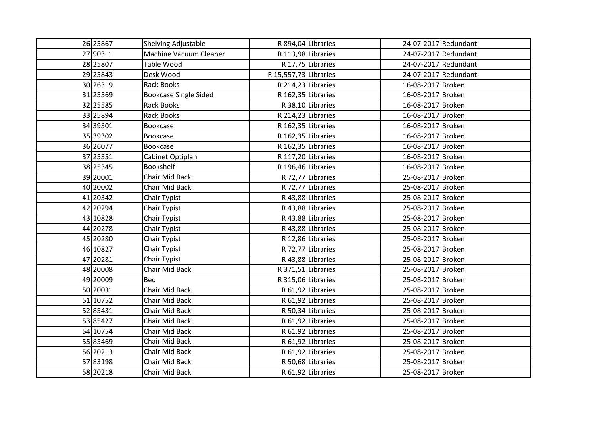| 26 25867 | Shelving Adjustable          |                       | R 894,04 Libraries |                   | 24-07-2017 Redundant |
|----------|------------------------------|-----------------------|--------------------|-------------------|----------------------|
| 27 90311 | Machine Vacuum Cleaner       |                       | R 113,98 Libraries |                   | 24-07-2017 Redundant |
| 28 25807 | Table Wood                   |                       | R 17,75 Libraries  |                   | 24-07-2017 Redundant |
| 29 25843 | Desk Wood                    | R 15,557,73 Libraries |                    |                   | 24-07-2017 Redundant |
| 30 26319 | <b>Rack Books</b>            |                       | R 214,23 Libraries | 16-08-2017 Broken |                      |
| 31 25569 | <b>Bookcase Single Sided</b> |                       | R 162,35 Libraries | 16-08-2017 Broken |                      |
| 32 25585 | <b>Rack Books</b>            |                       | R 38,10 Libraries  | 16-08-2017 Broken |                      |
| 33 25894 | <b>Rack Books</b>            |                       | R 214,23 Libraries | 16-08-2017 Broken |                      |
| 34 39301 | Bookcase                     |                       | R 162,35 Libraries | 16-08-2017 Broken |                      |
| 35 39302 | Bookcase                     |                       | R 162,35 Libraries | 16-08-2017 Broken |                      |
| 36 26077 | <b>Bookcase</b>              |                       | R 162,35 Libraries | 16-08-2017 Broken |                      |
| 37 25351 | Cabinet Optiplan             |                       | R 117,20 Libraries | 16-08-2017 Broken |                      |
| 38 25345 | <b>Bookshelf</b>             |                       | R 196,46 Libraries | 16-08-2017 Broken |                      |
| 39 20001 | Chair Mid Back               |                       | R 72,77 Libraries  | 25-08-2017 Broken |                      |
| 40 20002 | Chair Mid Back               |                       | R 72,77 Libraries  | 25-08-2017 Broken |                      |
| 41 20342 | Chair Typist                 |                       | R 43,88 Libraries  | 25-08-2017 Broken |                      |
| 42 20294 | Chair Typist                 |                       | R 43,88 Libraries  | 25-08-2017 Broken |                      |
| 43 10828 | Chair Typist                 |                       | R 43,88 Libraries  | 25-08-2017 Broken |                      |
| 44 20278 | Chair Typist                 |                       | R 43,88 Libraries  | 25-08-2017 Broken |                      |
| 45 20280 | Chair Typist                 |                       | R 12,86 Libraries  | 25-08-2017 Broken |                      |
| 46 10827 | Chair Typist                 |                       | R 72,77 Libraries  | 25-08-2017 Broken |                      |
| 47 20281 | Chair Typist                 |                       | R 43,88 Libraries  | 25-08-2017 Broken |                      |
| 48 20008 | Chair Mid Back               |                       | R 371,51 Libraries | 25-08-2017 Broken |                      |
| 49 20009 | <b>Bed</b>                   |                       | R 315,06 Libraries | 25-08-2017 Broken |                      |
| 50 20031 | Chair Mid Back               |                       | R 61,92 Libraries  | 25-08-2017 Broken |                      |
| 51 10752 | Chair Mid Back               |                       | R 61,92 Libraries  | 25-08-2017 Broken |                      |
| 52 85431 | Chair Mid Back               |                       | R 50,34 Libraries  | 25-08-2017 Broken |                      |
| 53 85427 | Chair Mid Back               |                       | R 61,92 Libraries  | 25-08-2017 Broken |                      |
| 54 10754 | <b>Chair Mid Back</b>        |                       | R 61,92 Libraries  | 25-08-2017 Broken |                      |
| 55 85469 | <b>Chair Mid Back</b>        |                       | R 61,92 Libraries  | 25-08-2017 Broken |                      |
| 56 20213 | Chair Mid Back               |                       | R 61,92 Libraries  | 25-08-2017 Broken |                      |
| 57 83198 | Chair Mid Back               |                       | R 50,68 Libraries  | 25-08-2017 Broken |                      |
| 58 20218 | Chair Mid Back               |                       | R 61,92 Libraries  | 25-08-2017 Broken |                      |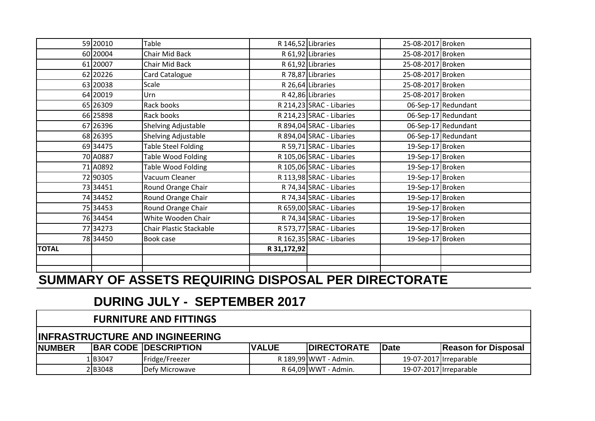|              | 59 20010 | Table                                   |             | R 146,52 Libraries       | 25-08-2017 Broken |                     |
|--------------|----------|-----------------------------------------|-------------|--------------------------|-------------------|---------------------|
|              | 60 20004 | Chair Mid Back                          |             | R 61,92 Libraries        | 25-08-2017 Broken |                     |
|              | 61 20007 | Chair Mid Back                          |             | R 61,92 Libraries        | 25-08-2017 Broken |                     |
|              | 62 20226 | Card Catalogue                          |             | R 78,87 Libraries        | 25-08-2017 Broken |                     |
|              | 63 20038 | Scale                                   |             | R 26,64 Libraries        | 25-08-2017 Broken |                     |
|              | 64 20019 | Urn                                     |             | R 42,86 Libraries        | 25-08-2017 Broken |                     |
|              | 65 26309 | Rack books                              |             | R 214,23 SRAC - Libaries |                   | 06-Sep-17 Redundant |
|              | 66 25898 | Rack books                              |             | R 214,23 SRAC - Libaries |                   | 06-Sep-17 Redundant |
|              | 67 26396 | Shelving Adjustable                     |             | R 894,04 SRAC - Libaries |                   | 06-Sep-17 Redundant |
|              | 68 26395 | Shelving Adjustable                     |             | R 894,04 SRAC - Libaries |                   | 06-Sep-17 Redundant |
|              | 69 34475 | <b>Table Steel Folding</b>              |             | R 59,71 SRAC - Libaries  | 19-Sep-17 Broken  |                     |
|              | 70 A0887 | Table Wood Folding                      |             | R 105,06 SRAC - Libaries | 19-Sep-17 Broken  |                     |
|              | 71 A0892 | Table Wood Folding                      |             | R 105,06 SRAC - Libaries | 19-Sep-17 Broken  |                     |
|              | 72 90305 | Vacuum Cleaner                          |             | R 113,98 SRAC - Libaries | 19-Sep-17 Broken  |                     |
|              | 73 34451 | Round Orange Chair                      |             | R 74,34 SRAC - Libaries  | 19-Sep-17 Broken  |                     |
|              | 74 34452 | Round Orange Chair                      |             | R 74,34 SRAC - Libaries  | 19-Sep-17 Broken  |                     |
|              | 75 34453 | Round Orange Chair                      |             | R 659,00 SRAC - Libaries | 19-Sep-17 Broken  |                     |
|              | 76 34454 | White Wooden Chair                      |             | R 74,34 SRAC - Libaries  | 19-Sep-17 Broken  |                     |
|              | 77 34273 | <b>Chair Plastic Stackable</b>          |             | R 573,77 SRAC - Libaries | 19-Sep-17 Broken  |                     |
|              | 78 34450 | Book case                               |             | R 162,35 SRAC - Libaries | 19-Sep-17 Broken  |                     |
| <b>TOTAL</b> |          |                                         | R 31,172,92 |                          |                   |                     |
|              |          |                                         |             |                          |                   |                     |
|              |          | AIIMMIINY AF IAAFTA BEAIIIBINA BIABAAII |             | BEB BIBEATAR             |                   |                     |

## **DURING JULY - SEPTEMBER 2017**

#### **FURNITURE AND FITTINGS**

#### **INFRASTRUCTURE AND INGINEERING**

| <b>NUMBER</b> |         | <b>BAR CODE DESCRIPTION</b> | <b>VALUE</b> | <b>IDIRECTORATE</b>   | Date                   | <b>Reason for Disposal</b> |
|---------------|---------|-----------------------------|--------------|-----------------------|------------------------|----------------------------|
|               | 1 B3047 | 'Fridge/Freezer             |              | R 189,99 WWT - Admin. | 19-07-2017 Irreparable |                            |
|               | 2 B3048 | Defy Microwave              |              | R 64,09 WWT - Admin.  | 19-07-2017 Irreparable |                            |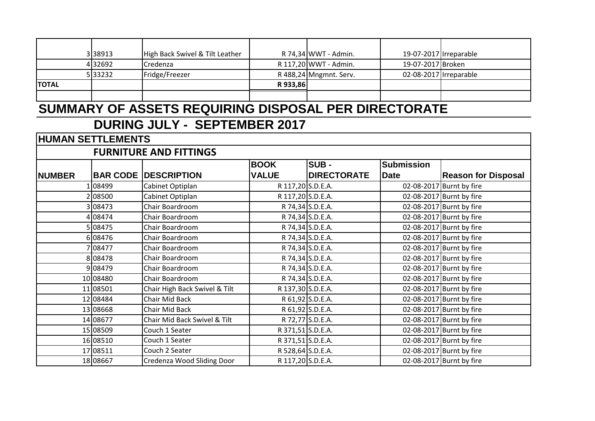|               | 338913                   | High Back Swivel & Tilt Leather                      |                   | R 74,34 WWT - Admin.   | 19-07-2017 Irreparable |                            |
|---------------|--------------------------|------------------------------------------------------|-------------------|------------------------|------------------------|----------------------------|
|               | 32692                    | Credenza                                             |                   | R 117,20 WWT - Admin.  | 19-07-2017 Broken      |                            |
|               | 33232                    | Fridge/Freezer                                       |                   | R 488,24 Mngmnt. Serv. | 02-08-2017 Irreparable |                            |
| <b>TOTAL</b>  |                          |                                                      | R 933,86          |                        |                        |                            |
|               |                          |                                                      |                   |                        |                        |                            |
|               |                          | SUMMARY OF ASSETS REQUIRING DISPOSAL PER DIRECTORATE |                   |                        |                        |                            |
|               |                          | <b>DURING JULY - SEPTEMBER 2017</b>                  |                   |                        |                        |                            |
|               | <b>HUMAN SETTLEMENTS</b> |                                                      |                   |                        |                        |                            |
|               |                          | <b>FURNITURE AND FITTINGS</b>                        |                   |                        |                        |                            |
|               |                          |                                                      | <b>BOOK</b>       | ISUB -                 | <b>Submission</b>      |                            |
| <b>NUMBER</b> |                          | <b>BAR CODE DESCRIPTION</b>                          | <b>VALUE</b>      | <b>DIRECTORATE</b>     | <b>Date</b>            | <b>Reason for Disposal</b> |
|               | 08499                    | Cabinet Optiplan                                     | R 117,20 S.D.E.A. |                        |                        | 02-08-2017 Burnt by fire   |
|               | 08500                    | Cabinet Optiplan                                     | R 117,20 S.D.E.A. |                        |                        | 02-08-2017 Burnt by fire   |
|               | 108473                   | Chair Boardroom                                      |                   | R 74,34 S.D.E.A.       |                        | 02-08-2017 Burnt by fire   |
|               | 08474                    | Chair Boardroom                                      |                   | R 74,34 S.D.E.A.       |                        | 02-08-2017 Burnt by fire   |
|               | 08475                    | Chair Boardroom                                      |                   | R 74,34 S.D.E.A.       |                        | 02-08-2017 Burnt by fire   |
|               | 6 08476                  | Chair Boardroom                                      |                   | R 74,34 S.D.E.A.       |                        | 02-08-2017 Burnt by fire   |
|               | 08477                    | Chair Boardroom                                      |                   | R 74,34 S.D.E.A.       |                        | 02-08-2017 Burnt by fire   |
|               | 808478                   | Chair Boardroom                                      |                   | R 74,34 S.D.E.A.       |                        | 02-08-2017 Burnt by fire   |
|               | 9 08479                  | Chair Boardroom                                      |                   | R 74,34 S.D.E.A.       |                        | 02-08-2017 Burnt by fire   |
|               | 10 08480                 | Chair Boardroom                                      |                   | R 74,34 S.D.E.A.       |                        | 02-08-2017 Burnt by fire   |
|               | 11 08501                 | Chair High Back Swivel & Tilt                        | R 137,30 S.D.E.A. |                        |                        | 02-08-2017 Burnt by fire   |
|               | 12 08484                 | <b>Chair Mid Back</b>                                |                   | R 61,92 S.D.E.A.       |                        | 02-08-2017 Burnt by fire   |
|               | 13 08668                 | Chair Mid Back                                       |                   | R 61,92 S.D.E.A.       |                        | 02-08-2017 Burnt by fire   |
|               | 14 08677                 | Chair Mid Back Swivel & Tilt                         |                   | R 72,77 S.D.E.A.       |                        | 02-08-2017 Burnt by fire   |
|               | 15 08509                 | Couch 1 Seater                                       | R 371,51 S.D.E.A. |                        |                        | 02-08-2017 Burnt by fire   |
|               | 16 08510                 | Couch 1 Seater                                       | R 371,51 S.D.E.A. |                        |                        | 02-08-2017 Burnt by fire   |
|               | 17 08511                 | Couch 2 Seater                                       | R 528,64 S.D.E.A. |                        |                        | 02-08-2017 Burnt by fire   |
|               | 18 08667                 | Credenza Wood Sliding Door                           | R 117,20 S.D.E.A. |                        |                        | 02-08-2017 Burnt by fire   |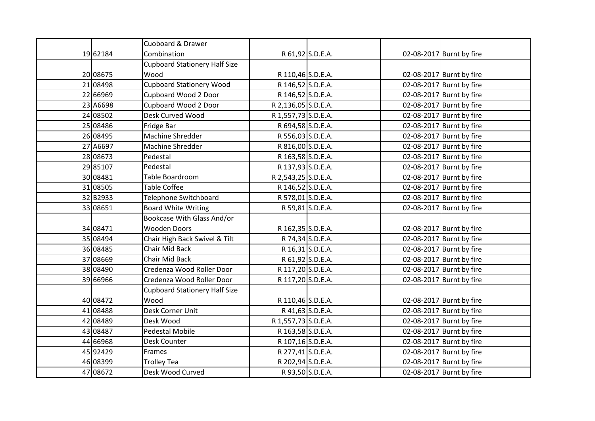|          | Cuoboard & Drawer                    |                     |                  |                          |
|----------|--------------------------------------|---------------------|------------------|--------------------------|
| 19 62184 | Combination                          |                     | R 61,92 S.D.E.A. | 02-08-2017 Burnt by fire |
|          | <b>Cupboard Stationery Half Size</b> |                     |                  |                          |
| 20 08675 | Wood                                 | R 110,46 S.D.E.A.   |                  | 02-08-2017 Burnt by fire |
| 21 08498 | <b>Cupboard Stationery Wood</b>      | R 146,52 S.D.E.A.   |                  | 02-08-2017 Burnt by fire |
| 22 66969 | Cupboard Wood 2 Door                 | R 146,52 S.D.E.A.   |                  | 02-08-2017 Burnt by fire |
| 23 A6698 | Cupboard Wood 2 Door                 | R 2,136,05 S.D.E.A. |                  | 02-08-2017 Burnt by fire |
| 24 08502 | Desk Curved Wood                     | R 1,557,73 S.D.E.A. |                  | 02-08-2017 Burnt by fire |
| 25 08486 | Fridge Bar                           | R 694,58 S.D.E.A.   |                  | 02-08-2017 Burnt by fire |
| 26 08495 | Machine Shredder                     | R 556,03 S.D.E.A.   |                  | 02-08-2017 Burnt by fire |
| 27 A6697 | Machine Shredder                     | R 816,00 S.D.E.A.   |                  | 02-08-2017 Burnt by fire |
| 28 08673 | Pedestal                             | R 163,58 S.D.E.A.   |                  | 02-08-2017 Burnt by fire |
| 29 85107 | Pedestal                             | R 137,93 S.D.E.A.   |                  | 02-08-2017 Burnt by fire |
| 30 08481 | Table Boardroom                      | R 2,543,25 S.D.E.A. |                  | 02-08-2017 Burnt by fire |
| 31 08505 | Table Coffee                         | R 146,52 S.D.E.A.   |                  | 02-08-2017 Burnt by fire |
| 32 B2933 | Telephone Switchboard                | R 578,01 S.D.E.A.   |                  | 02-08-2017 Burnt by fire |
| 33 08651 | <b>Board White Writing</b>           |                     | R 59,81 S.D.E.A. | 02-08-2017 Burnt by fire |
|          | Bookcase With Glass And/or           |                     |                  |                          |
| 34 08471 | <b>Wooden Doors</b>                  | R 162,35 S.D.E.A.   |                  | 02-08-2017 Burnt by fire |
| 35 08494 | Chair High Back Swivel & Tilt        |                     | R 74,34 S.D.E.A. | 02-08-2017 Burnt by fire |
| 36 08485 | <b>Chair Mid Back</b>                |                     | R 16,31 S.D.E.A. | 02-08-2017 Burnt by fire |
| 37 08669 | <b>Chair Mid Back</b>                |                     | R 61,92 S.D.E.A. | 02-08-2017 Burnt by fire |
| 38 08490 | Credenza Wood Roller Door            | R 117,20 S.D.E.A.   |                  | 02-08-2017 Burnt by fire |
| 39 66966 | Credenza Wood Roller Door            | R 117,20 S.D.E.A.   |                  | 02-08-2017 Burnt by fire |
|          | <b>Cupboard Stationery Half Size</b> |                     |                  |                          |
| 40 08472 | Wood                                 | R 110,46 S.D.E.A.   |                  | 02-08-2017 Burnt by fire |
| 41 08488 | Desk Corner Unit                     |                     | R 41,63 S.D.E.A. | 02-08-2017 Burnt by fire |
| 42 08489 | Desk Wood                            | R 1,557,73 S.D.E.A. |                  | 02-08-2017 Burnt by fire |
| 43 08487 | <b>Pedestal Mobile</b>               | R 163,58 S.D.E.A.   |                  | 02-08-2017 Burnt by fire |
| 44 66968 | Desk Counter                         | R 107,16 S.D.E.A.   |                  | 02-08-2017 Burnt by fire |
| 45 92429 | Frames                               | R 277,41 S.D.E.A.   |                  | 02-08-2017 Burnt by fire |
| 46 08399 | Trolley Tea                          | R 202,94 S.D.E.A.   |                  | 02-08-2017 Burnt by fire |
| 47 08672 | Desk Wood Curved                     |                     | R 93,50 S.D.E.A. | 02-08-2017 Burnt by fire |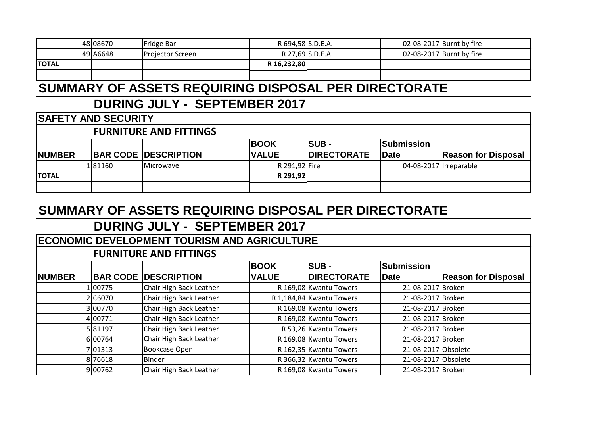|              | 48 08670 | IFridge Bar              | R 694,58 S.D.E.A. |                  | 02-08-2017 Burnt by fire |
|--------------|----------|--------------------------|-------------------|------------------|--------------------------|
|              | 49 A6648 | <b>IProjector Screen</b> |                   | R 27,69 S.D.E.A. | 02-08-2017 Burnt by fire |
| <b>TOTAL</b> |          |                          | R 16,232,80       |                  |                          |
|              |          |                          |                   |                  |                          |

## **DURING JULY - SEPTEMBER 2017**

|           | <b>BOOK</b>                                                                                | <b>Submission</b>                                                 |                            |
|-----------|--------------------------------------------------------------------------------------------|-------------------------------------------------------------------|----------------------------|
|           | <b>VALUE</b>                                                                               | Date                                                              | <b>Reason for Disposal</b> |
| Microwave |                                                                                            |                                                                   |                            |
|           |                                                                                            |                                                                   |                            |
|           |                                                                                            |                                                                   |                            |
| 181160    | <b>SAFETY AND SECURITY</b><br><b>FURNITURE AND FITTINGS</b><br><b>BAR CODE DESCRIPTION</b> | <b>ISUB -</b><br><b>IDIRECTORATE</b><br>R 291,92 Fire<br>R 291,92 | 04-08-2017 Irreparable     |

## **SUMMARY OF ASSETS REQUIRING DISPOSAL PER DIRECTORATE**

|               | <b>ECONOMIC DEVELOPMENT TOURISM AND AGRICULTURE</b> |                               |              |                          |                     |                            |  |  |  |
|---------------|-----------------------------------------------------|-------------------------------|--------------|--------------------------|---------------------|----------------------------|--|--|--|
|               |                                                     | <b>FURNITURE AND FITTINGS</b> |              |                          |                     |                            |  |  |  |
|               |                                                     |                               | <b>BOOK</b>  | <b>ISUB -</b>            | <b>Submission</b>   |                            |  |  |  |
| <b>NUMBER</b> |                                                     | <b>BAR CODE DESCRIPTION</b>   | <b>VALUE</b> | <b>DIRECTORATE</b>       | <b>Date</b>         | <b>Reason for Disposal</b> |  |  |  |
|               | 100775                                              | Chair High Back Leather       |              | R 169,08 Kwantu Towers   | 21-08-2017 Broken   |                            |  |  |  |
|               | 2 C6070                                             | Chair High Back Leather       |              | R 1,184,84 Kwantu Towers | 21-08-2017 Broken   |                            |  |  |  |
|               | 3 00770                                             | Chair High Back Leather       |              | R 169,08 Kwantu Towers   | 21-08-2017 Broken   |                            |  |  |  |
|               | 4 00771                                             | Chair High Back Leather       |              | R 169,08 Kwantu Towers   | 21-08-2017 Broken   |                            |  |  |  |
|               | 581197                                              | Chair High Back Leather       |              | R 53,26 Kwantu Towers    | 21-08-2017 Broken   |                            |  |  |  |
|               | 6 00764                                             | Chair High Back Leather       |              | R 169,08 Kwantu Towers   | 21-08-2017 Broken   |                            |  |  |  |
|               | 701313                                              | <b>Bookcase Open</b>          |              | R 162,35 Kwantu Towers   | 21-08-2017 Obsolete |                            |  |  |  |
|               | 876618                                              | Binder                        |              | R 366,32 Kwantu Towers   | 21-08-2017 Obsolete |                            |  |  |  |
|               | 9 00762                                             | Chair High Back Leather       |              | R 169,08 Kwantu Towers   | 21-08-2017 Broken   |                            |  |  |  |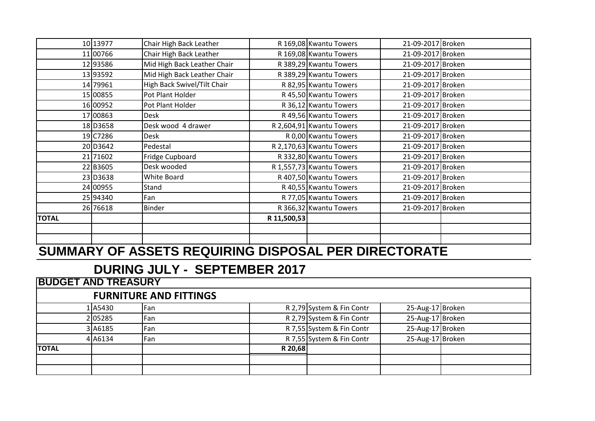|              | 10 13977 | Chair High Back Leather     |             | R 169,08 Kwantu Towers   | 21-09-2017 Broken |  |
|--------------|----------|-----------------------------|-------------|--------------------------|-------------------|--|
|              | 11 00766 | Chair High Back Leather     |             | R 169,08 Kwantu Towers   | 21-09-2017 Broken |  |
|              | 12 93586 | Mid High Back Leather Chair |             | R 389,29 Kwantu Towers   | 21-09-2017 Broken |  |
|              | 13 93592 | Mid High Back Leather Chair |             | R 389,29 Kwantu Towers   | 21-09-2017 Broken |  |
|              | 14 79961 | High Back Swivel/Tilt Chair |             | R 82,95 Kwantu Towers    | 21-09-2017 Broken |  |
|              | 15 00855 | Pot Plant Holder            |             | R 45,50 Kwantu Towers    | 21-09-2017 Broken |  |
|              | 16 00952 | Pot Plant Holder            |             | R 36,12 Kwantu Towers    | 21-09-2017 Broken |  |
|              | 17 00863 | Desk                        |             | R 49,56 Kwantu Towers    | 21-09-2017 Broken |  |
|              | 18 D3658 | Desk wood 4 drawer          |             | R 2,604,91 Kwantu Towers | 21-09-2017 Broken |  |
|              | 19 C7286 | Desk                        |             | R 0,00 Kwantu Towers     | 21-09-2017 Broken |  |
|              | 20 D3642 | Pedestal                    |             | R 2,170,63 Kwantu Towers | 21-09-2017 Broken |  |
|              | 21 71602 | Fridge Cupboard             |             | R 332,80 Kwantu Towers   | 21-09-2017 Broken |  |
|              | 22 B3605 | Desk wooded                 |             | R 1,557,73 Kwantu Towers | 21-09-2017 Broken |  |
|              | 23 D3638 | White Board                 |             | R 407,50 Kwantu Towers   | 21-09-2017 Broken |  |
|              | 24 00955 | Stand                       |             | R 40,55 Kwantu Towers    | 21-09-2017 Broken |  |
|              | 25 94340 | Fan                         |             | R 77,05 Kwantu Towers    | 21-09-2017 Broken |  |
|              | 26 76618 | <b>Binder</b>               |             | R 366,32 Kwantu Towers   | 21-09-2017 Broken |  |
| <b>TOTAL</b> |          |                             | R 11,500,53 |                          |                   |  |
|              |          |                             |             |                          |                   |  |
|              |          |                             |             |                          |                   |  |

| <b>BUDGET AND TREASURY</b> |         |                               |         |                           |                  |  |
|----------------------------|---------|-------------------------------|---------|---------------------------|------------------|--|
|                            |         | <b>FURNITURE AND FITTINGS</b> |         |                           |                  |  |
|                            | 1A5430  | Fan                           |         | R 2,79 System & Fin Contr | 25-Aug-17 Broken |  |
|                            | 205285  | Fan                           |         | R 2,79 System & Fin Contr | 25-Aug-17 Broken |  |
|                            | 3 A6185 | Fan                           |         | R 7,55 System & Fin Contr | 25-Aug-17 Broken |  |
|                            | 4 A6134 | Fan                           |         | R 7,55 System & Fin Contr | 25-Aug-17 Broken |  |
| <b>TOTAL</b>               |         |                               | R 20,68 |                           |                  |  |
|                            |         |                               |         |                           |                  |  |
|                            |         |                               |         |                           |                  |  |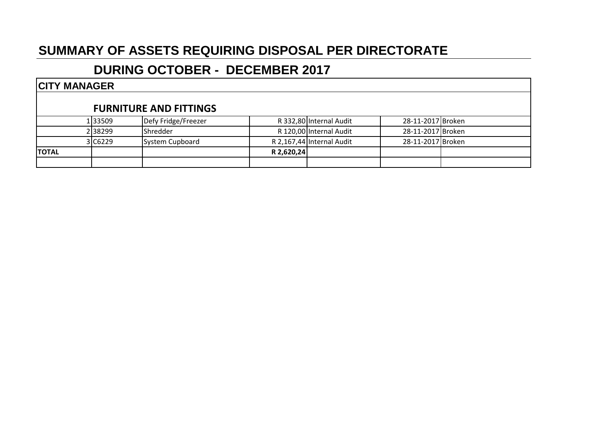## **DURING OCTOBER - DECEMBER 2017**

#### **CITY MANAGER**

#### **FURNITURE AND FITTINGS**

| <b>TOTAL</b> |         |                     | R 2,620,24 |                           |                   |  |
|--------------|---------|---------------------|------------|---------------------------|-------------------|--|
|              | 3 C6229 | System Cupboard     |            | R 2,167,44 Internal Audit | 28-11-2017 Broken |  |
|              | 2 38299 | <b>I</b> Shredder   |            | R 120,00 Internal Audit   | 28-11-2017 Broken |  |
|              | 1 33509 | Defy Fridge/Freezer |            | R 332,80 Internal Audit   | 28-11-2017 Broken |  |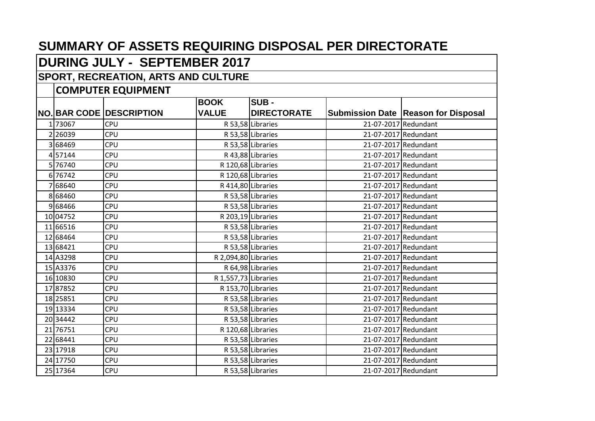# **DURING JULY - SEPTEMBER 2017**

#### **SPORT, RECREATION, ARTS AND CULTURE**

|          | <b>CONTUTER EQUIPMENT</b>       |                      |                    |                      |                                       |
|----------|---------------------------------|----------------------|--------------------|----------------------|---------------------------------------|
|          |                                 | <b>BOOK</b>          | SUB-               |                      |                                       |
|          | <b>NO. BAR CODE DESCRIPTION</b> | <b>VALUE</b>         | <b>DIRECTORATE</b> |                      | Submission Date   Reason for Disposal |
| 173067   | CPU                             |                      | R 53,58 Libraries  |                      | 21-07-2017 Redundant                  |
| 2 26039  | <b>CPU</b>                      |                      | R 53,58 Libraries  |                      | 21-07-2017 Redundant                  |
| 3 68469  | <b>CPU</b>                      |                      | R 53,58 Libraries  | 21-07-2017 Redundant |                                       |
| 457144   | CPU                             |                      | R 43,88 Libraries  |                      | 21-07-2017 Redundant                  |
| 5 76740  | CPU                             |                      | R 120,68 Libraries |                      | 21-07-2017 Redundant                  |
| 6 76742  | <b>CPU</b>                      |                      | R 120,68 Libraries |                      | 21-07-2017 Redundant                  |
| 7 68640  | <b>CPU</b>                      |                      | R 414,80 Libraries |                      | 21-07-2017 Redundant                  |
| 8 68460  | <b>CPU</b>                      |                      | R 53,58 Libraries  |                      | 21-07-2017 Redundant                  |
| 968466   | <b>CPU</b>                      |                      | R 53,58 Libraries  |                      | 21-07-2017 Redundant                  |
| 10 04752 | CPU                             |                      | R 203,19 Libraries |                      | 21-07-2017 Redundant                  |
| 11 66516 | CPU                             |                      | R 53,58 Libraries  | 21-07-2017 Redundant |                                       |
| 12 68464 | <b>CPU</b>                      |                      | R 53,58 Libraries  |                      | 21-07-2017 Redundant                  |
| 13 68421 | <b>CPU</b>                      |                      | R 53,58 Libraries  |                      | 21-07-2017 Redundant                  |
| 14 A3298 | CPU                             | R 2,094,80 Libraries |                    |                      | 21-07-2017 Redundant                  |
| 15 A3376 | <b>CPU</b>                      |                      | R 64,98 Libraries  |                      | 21-07-2017 Redundant                  |
| 16 10830 | CPU                             | R 1,557,73 Libraries |                    |                      | 21-07-2017 Redundant                  |
| 17 87852 | CPU                             |                      | R 153,70 Libraries | 21-07-2017 Redundant |                                       |
| 18 25851 | <b>CPU</b>                      |                      | R 53,58 Libraries  |                      | 21-07-2017 Redundant                  |
| 19 13334 | <b>CPU</b>                      |                      | R 53,58 Libraries  |                      | 21-07-2017 Redundant                  |
| 20 34442 | CPU                             |                      | R 53,58 Libraries  | 21-07-2017 Redundant |                                       |
| 21 76751 | CPU                             |                      | R 120,68 Libraries |                      | 21-07-2017 Redundant                  |
| 22 68441 | CPU                             |                      | R 53,58 Libraries  | 21-07-2017 Redundant |                                       |
| 23 17918 | <b>CPU</b>                      |                      | R 53,58 Libraries  |                      | 21-07-2017 Redundant                  |
| 24 17750 | <b>CPU</b>                      |                      | R 53,58 Libraries  |                      | 21-07-2017 Redundant                  |
| 25 17364 | CPU                             |                      | R 53,58 Libraries  |                      | 21-07-2017 Redundant                  |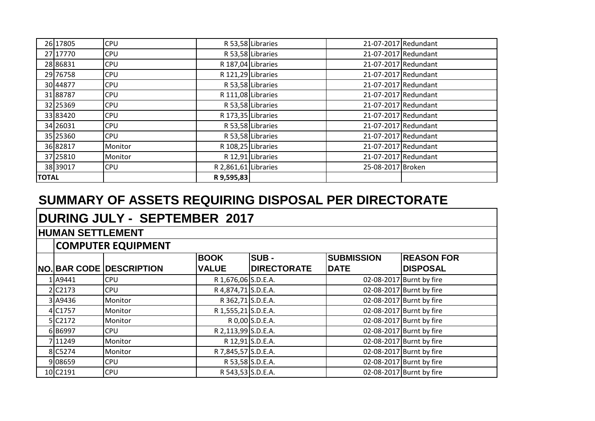| 26 17805     | <b>CPU</b> |                      | R 53,58 Libraries | 21-07-2017 Redundant |  |
|--------------|------------|----------------------|-------------------|----------------------|--|
| 27 17770     | <b>CPU</b> |                      | R 53,58 Libraries | 21-07-2017 Redundant |  |
| 28 86831     | <b>CPU</b> | R 187,04 Libraries   |                   | 21-07-2017 Redundant |  |
| 29 76758     | <b>CPU</b> | R 121,29 Libraries   |                   | 21-07-2017 Redundant |  |
| 30 44877     | <b>CPU</b> |                      | R 53,58 Libraries | 21-07-2017 Redundant |  |
| 3188787      | <b>CPU</b> | R 111,08 Libraries   |                   | 21-07-2017 Redundant |  |
| 32 25369     | <b>CPU</b> |                      | R 53,58 Libraries | 21-07-2017 Redundant |  |
| 33 83420     | <b>CPU</b> | R 173,35 Libraries   |                   | 21-07-2017 Redundant |  |
| 34 26031     | <b>CPU</b> |                      | R 53,58 Libraries | 21-07-2017 Redundant |  |
| 35 25360     | <b>CPU</b> |                      | R 53,58 Libraries | 21-07-2017 Redundant |  |
| 36 82817     | Monitor    | R 108,25 Libraries   |                   | 21-07-2017 Redundant |  |
| 37 25810     | Monitor    |                      | R 12,91 Libraries | 21-07-2017 Redundant |  |
| 38 39017     | <b>CPU</b> | R 2,861,61 Libraries |                   | 25-08-2017 Broken    |  |
| <b>TOTAL</b> |            | R 9,595,83           |                   |                      |  |

# **DURING JULY - SEPTEMBER 2017**

#### **HUMAN SETTLEMENT**

|                       |                                 | <b>BOOK</b>         | <b>SUB -</b>       | <b>SUBMISSION</b> | <b>REASON FOR</b>        |
|-----------------------|---------------------------------|---------------------|--------------------|-------------------|--------------------------|
|                       | <b>NO. BAR CODE DESCRIPTION</b> | <b>VALUE</b>        | <b>DIRECTORATE</b> | <b>IDATE</b>      | <b>DISPOSAL</b>          |
| 1 A9441               | <b>CPU</b>                      | R 1,676,06 S.D.E.A. |                    |                   | 02-08-2017 Burnt by fire |
| 2 C <sub>2173</sub>   | <b>CPU</b>                      | R 4,874,71 S.D.E.A. |                    |                   | 02-08-2017 Burnt by fire |
| 3 A9436               | Monitor                         | R 362,71 S.D.E.A.   |                    |                   | 02-08-2017 Burnt by fire |
| 4 C1757               | Monitor                         | R 1,555,21 S.D.E.A. |                    |                   | 02-08-2017 Burnt by fire |
| $5$ C <sub>2172</sub> | Monitor                         |                     | R 0,00 S.D.E.A.    |                   | 02-08-2017 Burnt by fire |
| 6B6997                | <b>CPU</b>                      | R 2,113,99 S.D.E.A. |                    |                   | 02-08-2017 Burnt by fire |
| 711249                | Monitor                         |                     | R 12,91 S.D.E.A.   |                   | 02-08-2017 Burnt by fire |
| 8 C5274               | Monitor                         | R 7,845,57 S.D.E.A. |                    |                   | 02-08-2017 Burnt by fire |
| 9 08659               | <b>CPU</b>                      |                     | R 53,58 S.D.E.A.   |                   | 02-08-2017 Burnt by fire |
| 10 C2191              | <b>CPU</b>                      | R 543,53 S.D.E.A.   |                    |                   | 02-08-2017 Burnt by fire |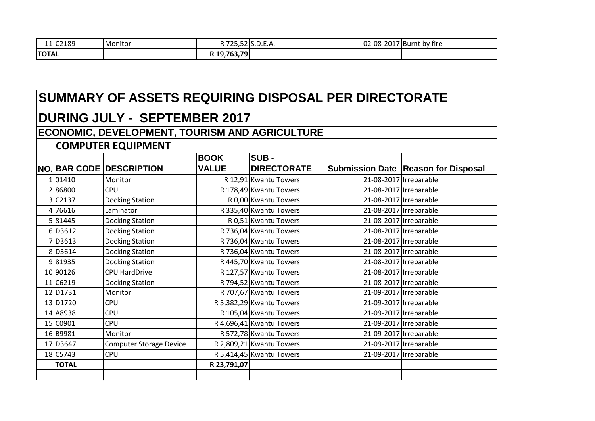| 11 C2189     | <b>I</b> Monitor | <b>D. 70 E</b> | $\sim$ $\sim$ $\sim$<br>725,5215.D.E.A. | 02-08-2017 Burnt | . .<br>by fire |
|--------------|------------------|----------------|-----------------------------------------|------------------|----------------|
| <b>TOTAL</b> |                  | R 19,763,79    |                                         |                  |                |

| SUMMARY OF ASSETS REQUIRING DISPOSAL PER DIRECTORATE  |                                 |                             |                                   |                        |                                              |  |  |  |  |
|-------------------------------------------------------|---------------------------------|-----------------------------|-----------------------------------|------------------------|----------------------------------------------|--|--|--|--|
| <b>DURING JULY - SEPTEMBER 2017</b>                   |                                 |                             |                                   |                        |                                              |  |  |  |  |
| <b>ECONOMIC, DEVELOPMENT, TOURISM AND AGRICULTURE</b> |                                 |                             |                                   |                        |                                              |  |  |  |  |
| <b>COMPUTER EQUIPMENT</b>                             |                                 |                             |                                   |                        |                                              |  |  |  |  |
|                                                       | <b>NO. BAR CODE DESCRIPTION</b> | <b>BOOK</b><br><b>VALUE</b> | <b>SUB-</b><br><b>DIRECTORATE</b> |                        | <b>Submission Date   Reason for Disposal</b> |  |  |  |  |
| 101410                                                | Monitor                         |                             | R 12,91 Kwantu Towers             |                        | 21-08-2017 Irreparable                       |  |  |  |  |
| 286800                                                | <b>CPU</b>                      |                             | R 178,49 Kwantu Towers            | 21-08-2017 Irreparable |                                              |  |  |  |  |
| 3 C <sub>2137</sub>                                   | <b>Docking Station</b>          |                             | R 0,00 Kwantu Towers              | 21-08-2017 Irreparable |                                              |  |  |  |  |
| 4 76616                                               | Laminator                       |                             | R 335,40 Kwantu Towers            |                        | 21-08-2017 Irreparable                       |  |  |  |  |
| 581445                                                | <b>Docking Station</b>          |                             | R 0,51 Kwantu Towers              |                        | 21-08-2017 Irreparable                       |  |  |  |  |
| 6 D3612                                               | <b>Docking Station</b>          |                             | R 736,04 Kwantu Towers            | 21-08-2017 Irreparable |                                              |  |  |  |  |
| 7 D3613                                               | <b>Docking Station</b>          |                             | R 736,04 Kwantu Towers            |                        | 21-08-2017 Irreparable                       |  |  |  |  |
| 8 D3614                                               | <b>Docking Station</b>          |                             | R 736,04 Kwantu Towers            |                        | 21-08-2017 Irreparable                       |  |  |  |  |
| 981935                                                | <b>Docking Station</b>          |                             | R 445,70 Kwantu Towers            |                        | 21-08-2017 Irreparable                       |  |  |  |  |
| 10 90126                                              | <b>CPU HardDrive</b>            |                             | R 127,57 Kwantu Towers            | 21-08-2017 Irreparable |                                              |  |  |  |  |
| 11 C6219                                              | <b>Docking Station</b>          |                             | R 794,52 Kwantu Towers            |                        | 21-08-2017 Irreparable                       |  |  |  |  |
| 12 D1731                                              | Monitor                         |                             | R 707,67 Kwantu Towers            |                        | 21-09-2017 Irreparable                       |  |  |  |  |
| 13 D1720                                              | <b>CPU</b>                      |                             | R 5,382,29 Kwantu Towers          | 21-09-2017 Irreparable |                                              |  |  |  |  |
| 14 A8938                                              | <b>CPU</b>                      |                             | R 105,04 Kwantu Towers            |                        | 21-09-2017 Irreparable                       |  |  |  |  |
| 15 C0901                                              | CPU                             |                             | R 4,696,41 Kwantu Towers          |                        | 21-09-2017 Irreparable                       |  |  |  |  |
| 16B9981                                               | Monitor                         |                             | R 572,78 Kwantu Towers            |                        | 21-09-2017 Irreparable                       |  |  |  |  |
| 17 D3647                                              | <b>Computer Storage Device</b>  |                             | R 2,809,21 Kwantu Towers          |                        | 21-09-2017 Irreparable                       |  |  |  |  |
| 18 C5743                                              | <b>CPU</b>                      |                             | R 5,414,45 Kwantu Towers          | 21-09-2017 Irreparable |                                              |  |  |  |  |
| <b>TOTAL</b>                                          |                                 | R 23,791,07                 |                                   |                        |                                              |  |  |  |  |
|                                                       |                                 |                             |                                   |                        |                                              |  |  |  |  |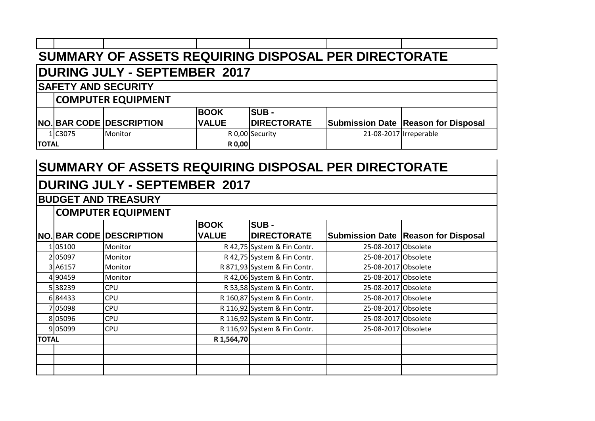| SUMMARY OF ASSETS REQUIRING DISPOSAL PER DIRECTORATE |                              |                                 |              |                    |  |                                            |  |  |  |
|------------------------------------------------------|------------------------------|---------------------------------|--------------|--------------------|--|--------------------------------------------|--|--|--|
| <b>DURING JULY - SEPTEMBER 2017</b>                  |                              |                                 |              |                    |  |                                            |  |  |  |
|                                                      | <b>SAFETY AND SECURITY</b>   |                                 |              |                    |  |                                            |  |  |  |
|                                                      |                              | <b>COMPUTER EQUIPMENT</b>       |              |                    |  |                                            |  |  |  |
|                                                      |                              |                                 | <b>BOOK</b>  | <b>SUB -</b>       |  |                                            |  |  |  |
|                                                      |                              | <b>NO. BAR CODE DESCRIPTION</b> | <b>VALUE</b> | <b>DIRECTORATE</b> |  | <b>Submission Date Reason for Disposal</b> |  |  |  |
|                                                      | 1 C3075                      | Monitor                         |              | R 0,00 Security    |  | 21-08-2017 Irreperable                     |  |  |  |
|                                                      | <b>R0,00</b><br><b>TOTAL</b> |                                 |              |                    |  |                                            |  |  |  |

# **DURING JULY - SEPTEMBER 2017**

#### **BUDGET AND TREASURY**

|              |         |                                 | <b>BOOK</b>  | <b>SUB-</b>                  |                     |                                     |  |  |  |  |
|--------------|---------|---------------------------------|--------------|------------------------------|---------------------|-------------------------------------|--|--|--|--|
|              |         | <b>NO. BAR CODE DESCRIPTION</b> | <b>VALUE</b> | <b>DIRECTORATE</b>           |                     | Submission Date Reason for Disposal |  |  |  |  |
|              | 105100  | Monitor                         |              | R 42,75 System & Fin Contr.  | 25-08-2017 Obsolete |                                     |  |  |  |  |
|              | 205097  | Monitor                         |              | R 42,75 System & Fin Contr.  | 25-08-2017 Obsolete |                                     |  |  |  |  |
|              | 3 A6157 | Monitor                         |              | R 871,93 System & Fin Contr. | 25-08-2017 Obsolete |                                     |  |  |  |  |
|              | 4 90459 | Monitor                         |              | R 42,06 System & Fin Contr.  | 25-08-2017 Obsolete |                                     |  |  |  |  |
|              | 538239  | <b>CPU</b>                      |              | R 53,58 System & Fin Contr.  | 25-08-2017 Obsolete |                                     |  |  |  |  |
|              | 684433  | <b>CPU</b>                      |              | R 160,87 System & Fin Contr. | 25-08-2017 Obsolete |                                     |  |  |  |  |
|              | 705098  | <b>CPU</b>                      |              | R 116,92 System & Fin Contr. | 25-08-2017 Obsolete |                                     |  |  |  |  |
|              | 805096  | <b>CPU</b>                      |              | R 116,92 System & Fin Contr. | 25-08-2017 Obsolete |                                     |  |  |  |  |
|              | 9 05099 | <b>CPU</b>                      |              | R 116,92 System & Fin Contr. | 25-08-2017 Obsolete |                                     |  |  |  |  |
| <b>TOTAL</b> |         |                                 | R 1,564,70   |                              |                     |                                     |  |  |  |  |
|              |         |                                 |              |                              |                     |                                     |  |  |  |  |
|              |         |                                 |              |                              |                     |                                     |  |  |  |  |
|              |         |                                 |              |                              |                     |                                     |  |  |  |  |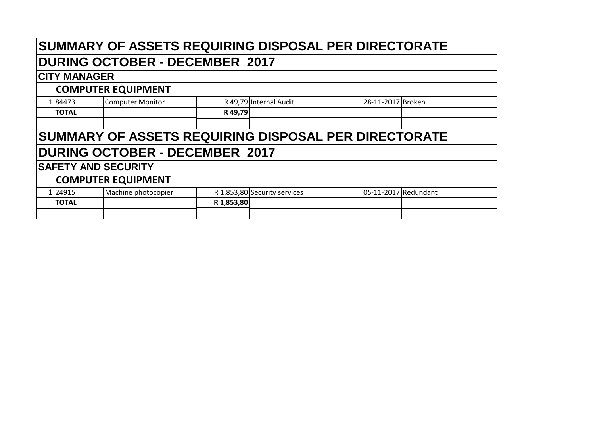# **DURING OCTOBER - DECEMBER 2017**

#### **CITY MANAGER**

| 184473                                               | <b>Computer Monitor</b>    |            | R 49,79 Internal Audit       | 28-11-2017 Broken    |  |  |  |  |  |  |
|------------------------------------------------------|----------------------------|------------|------------------------------|----------------------|--|--|--|--|--|--|
| <b>TOTAL</b>                                         |                            | R 49,79    |                              |                      |  |  |  |  |  |  |
|                                                      |                            |            |                              |                      |  |  |  |  |  |  |
| SUMMARY OF ASSETS REQUIRING DISPOSAL PER DIRECTORATE |                            |            |                              |                      |  |  |  |  |  |  |
| <b>DURING OCTOBER - DECEMBER 2017</b>                |                            |            |                              |                      |  |  |  |  |  |  |
|                                                      | <b>SAFETY AND SECURITY</b> |            |                              |                      |  |  |  |  |  |  |
|                                                      | <b>COMPUTER EQUIPMENT</b>  |            |                              |                      |  |  |  |  |  |  |
| 1 24915                                              | Machine photocopier        |            | R 1,853,80 Security services | 05-11-2017 Redundant |  |  |  |  |  |  |
| <b>TOTAL</b>                                         |                            | R 1,853,80 |                              |                      |  |  |  |  |  |  |
|                                                      |                            |            |                              |                      |  |  |  |  |  |  |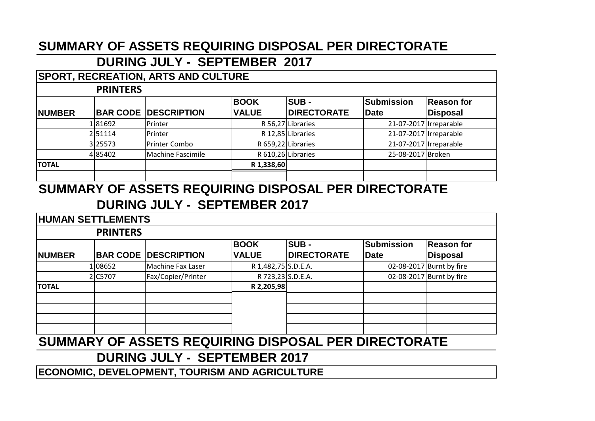## **DURING JULY - SEPTEMBER 2017**

#### **SPORT, RECREATION, ARTS AND CULTURE**

#### **PRINTERS**

|               | .       |                             |                    |                    |                        |            |
|---------------|---------|-----------------------------|--------------------|--------------------|------------------------|------------|
|               |         |                             | <b>BOOK</b>        | <b>ISUB -</b>      | Submission             | Reason for |
| <b>NUMBER</b> |         | <b>BAR CODE DESCRIPTION</b> | <b>VALUE</b>       | <b>DIRECTORATE</b> | Date                   | Disposal   |
|               | 181692  | Printer                     |                    | R 56,27 Libraries  | 21-07-2017 Irreparable |            |
|               | 251114  | Printer                     |                    | R 12,85 Libraries  | 21-07-2017 Irreparable |            |
|               | 3 25573 | Printer Combo               | R 659,22 Libraries |                    | 21-07-2017 Irreparable |            |
|               | 485402  | Machine Fascimile           | R 610,26 Libraries |                    | 25-08-2017 Broken      |            |
| <b>TOTAL</b>  |         |                             | R 1,338,60         |                    |                        |            |
|               |         |                             |                    |                    |                        |            |

## **SUMMARY OF ASSETS REQUIRING DISPOSAL PER DIRECTORATE**

## **DURING JULY - SEPTEMBER 2017**

#### **NUMBER BAR CODE DESCRIPTION BOOK VALUE SUB - DIRECTORATE Submission Date Reason for Disposal** 1 08652 Machine Fax Laser R 1,482,75 S.D.E.A. 02-08-2017 Burnt by fire 2 C5707 Fax/Copier/Printer R 723.23 S.D.E.A. 1 02-08-2017 Burnt by fire **TOTAL R 2,205,98 HUMAN SETTLEMENTS PRINTERS**

## **SUMMARY OF ASSETS REQUIRING DISPOSAL PER DIRECTORATE**

### **DURING JULY - SEPTEMBER 2017**

**ECONOMIC, DEVELOPMENT, TOURISM AND AGRICULTURE**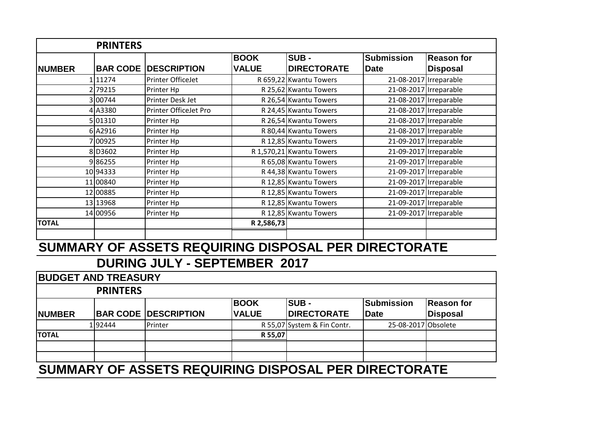|               | <b>PRINTERS</b> |                             |              |                          |                        |                        |
|---------------|-----------------|-----------------------------|--------------|--------------------------|------------------------|------------------------|
|               |                 |                             | <b>BOOK</b>  | <b>SUB-</b>              | <b>Submission</b>      | <b>Reason for</b>      |
| <b>NUMBER</b> |                 | <b>BAR CODE DESCRIPTION</b> | <b>VALUE</b> | <b>DIRECTORATE</b>       | Date                   | <b>Disposal</b>        |
|               | 1 11274         | Printer OfficeJet           |              | R 659,22 Kwantu Towers   |                        | 21-08-2017 Irreparable |
|               | 2 79215         | Printer Hp                  |              | R 25,62 Kwantu Towers    |                        | 21-08-2017 Irreparable |
|               | 3 00744         | Printer Desk Jet            |              | R 26,54 Kwantu Towers    |                        | 21-08-2017 Irreparable |
|               | 4 A3380         | Printer OfficeJet Pro       |              | R 24,45 Kwantu Towers    |                        | 21-08-2017 Irreparable |
|               | 5 01310         | Printer Hp                  |              | R 26,54 Kwantu Towers    |                        | 21-08-2017 Irreparable |
|               | 6A2916          | Printer Hp                  |              | R 80,44 Kwantu Towers    |                        | 21-08-2017 Irreparable |
|               | 7 00925         | Printer Hp                  |              | R 12,85 Kwantu Towers    |                        | 21-09-2017 Irreparable |
|               | 8 D3602         | Printer Hp                  |              | R 1,570,21 Kwantu Towers | 21-09-2017 Irreparable |                        |
|               | 986255          | Printer Hp                  |              | R 65,08 Kwantu Towers    |                        | 21-09-2017 Irreparable |
|               | 10 94333        | Printer Hp                  |              | R 44,38 Kwantu Towers    |                        | 21-09-2017 Irreparable |
|               | 11 00840        | Printer Hp                  |              | R 12,85 Kwantu Towers    |                        | 21-09-2017 Irreparable |
|               | 12 00885        | Printer Hp                  |              | R 12,85 Kwantu Towers    |                        | 21-09-2017 Irreparable |
|               | 13 13 968       | Printer Hp                  |              | R 12,85 Kwantu Towers    |                        | 21-09-2017 Irreparable |
|               | 14 00956        | Printer Hp                  |              | R 12,85 Kwantu Towers    |                        | 21-09-2017 Irreparable |
| <b>TOTAL</b>  |                 |                             | R 2,586,73   |                          |                        |                        |
|               |                 |                             |              |                          |                        |                        |

| <b>BUDGET AND TREASURY</b>                           |        |                               |                             |                                   |                                  |                        |  |  |  |  |
|------------------------------------------------------|--------|-------------------------------|-----------------------------|-----------------------------------|----------------------------------|------------------------|--|--|--|--|
| <b>PRINTERS</b>                                      |        |                               |                             |                                   |                                  |                        |  |  |  |  |
| <b>INUMBER</b>                                       |        | <b>BAR CODE   DESCRIPTION</b> | <b>BOOK</b><br><b>VALUE</b> | <b>SUB-</b><br><b>DIRECTORATE</b> | <b>Submission</b><br><b>Date</b> | Reason for<br>Disposal |  |  |  |  |
|                                                      | 192444 | Printer                       |                             | R 55,07 System & Fin Contr.       | 25-08-2017 Obsolete              |                        |  |  |  |  |
| <b>TOTAL</b>                                         |        |                               | R 55,07                     |                                   |                                  |                        |  |  |  |  |
| SUMMARY OF ASSETS REQUIRING DISPOSAL PER DIRECTORATE |        |                               |                             |                                   |                                  |                        |  |  |  |  |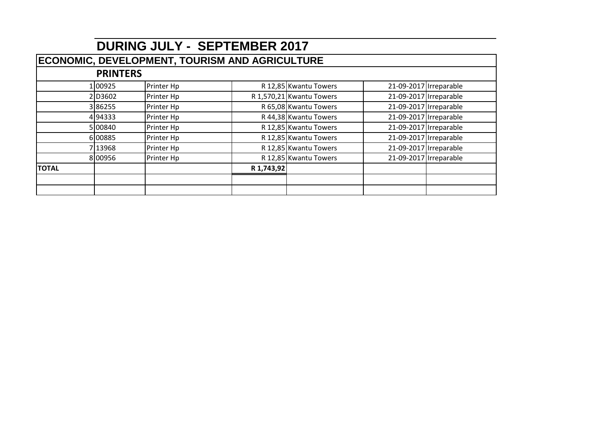|              | <b>DURING JULY - SEPTEMBER 2017</b>                   |            |            |                          |                        |  |  |  |  |  |
|--------------|-------------------------------------------------------|------------|------------|--------------------------|------------------------|--|--|--|--|--|
|              | <b>ECONOMIC, DEVELOPMENT, TOURISM AND AGRICULTURE</b> |            |            |                          |                        |  |  |  |  |  |
|              | <b>PRINTERS</b>                                       |            |            |                          |                        |  |  |  |  |  |
|              | 100925                                                | Printer Hp |            | R 12,85 Kwantu Towers    | 21-09-2017 Irreparable |  |  |  |  |  |
|              | 2D3602                                                | Printer Hp |            | R 1,570,21 Kwantu Towers | 21-09-2017 Irreparable |  |  |  |  |  |
|              | 386255                                                | Printer Hp |            | R 65,08 Kwantu Towers    | 21-09-2017 Irreparable |  |  |  |  |  |
|              | 494333                                                | Printer Hp |            | R 44,38 Kwantu Towers    | 21-09-2017 Irreparable |  |  |  |  |  |
|              | 5 00840                                               | Printer Hp |            | R 12,85 Kwantu Towers    | 21-09-2017 Irreparable |  |  |  |  |  |
|              | 6 00885                                               | Printer Hp |            | R 12,85 Kwantu Towers    | 21-09-2017 Irreparable |  |  |  |  |  |
|              | 713968                                                | Printer Hp |            | R 12,85 Kwantu Towers    | 21-09-2017 Irreparable |  |  |  |  |  |
|              | 8 00956                                               | Printer Hp |            | R 12,85 Kwantu Towers    | 21-09-2017 Irreparable |  |  |  |  |  |
| <b>TOTAL</b> |                                                       |            | R 1,743,92 |                          |                        |  |  |  |  |  |
|              |                                                       |            |            |                          |                        |  |  |  |  |  |
|              |                                                       |            |            |                          |                        |  |  |  |  |  |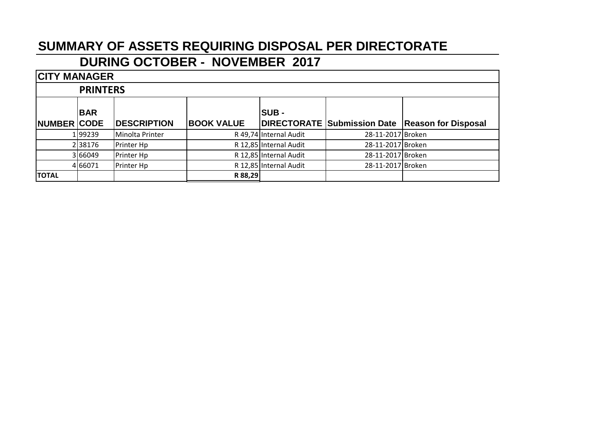## **DURING OCTOBER - NOVEMBER 2017**

| <b>CITY MANAGER</b>  |                 |                    |                   |                        |                   |                                                 |  |  |  |  |
|----------------------|-----------------|--------------------|-------------------|------------------------|-------------------|-------------------------------------------------|--|--|--|--|
|                      | <b>PRINTERS</b> |                    |                   |                        |                   |                                                 |  |  |  |  |
| <b>BAR</b><br>ISUB - |                 |                    |                   |                        |                   |                                                 |  |  |  |  |
| <b>NUMBER CODE</b>   |                 | <b>DESCRIPTION</b> | <b>BOOK VALUE</b> |                        |                   | DIRECTORATE Submission Date Reason for Disposal |  |  |  |  |
|                      | 1   99239       | Minolta Printer    |                   | R 49,74 Internal Audit | 28-11-2017 Broken |                                                 |  |  |  |  |
|                      | 238176          | Printer Hp         |                   | R 12,85 Internal Audit | 28-11-2017 Broken |                                                 |  |  |  |  |
|                      | 3 66049         | Printer Hp         |                   | R 12,85 Internal Audit | 28-11-2017 Broken |                                                 |  |  |  |  |
|                      | 4 66071         | Printer Hp         |                   | R 12,85 Internal Audit | 28-11-2017 Broken |                                                 |  |  |  |  |
| <b>TOTAL</b>         |                 |                    | R 88,29           |                        |                   |                                                 |  |  |  |  |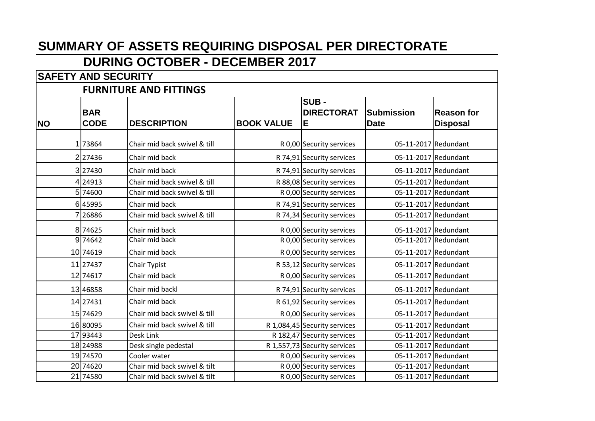## **DURING OCTOBER - DECEMBER 2017**

|           | <b>SAFETY AND SECURITY</b>    |                              |                   |                                                         |                                  |                                      |  |  |  |  |
|-----------|-------------------------------|------------------------------|-------------------|---------------------------------------------------------|----------------------------------|--------------------------------------|--|--|--|--|
|           | <b>FURNITURE AND FITTINGS</b> |                              |                   |                                                         |                                  |                                      |  |  |  |  |
| <b>NO</b> | <b>BAR</b><br><b>CODE</b>     | <b>DESCRIPTION</b>           | <b>BOOK VALUE</b> | $\overline{\textsf{SUB}}$ -<br><b>DIRECTORAT</b><br>lE. | <b>Submission</b><br><b>Date</b> | <b>Reason for</b><br><b>Disposal</b> |  |  |  |  |
|           | 1 73864                       | Chair mid back swivel & till |                   |                                                         |                                  | 05-11-2017 Redundant                 |  |  |  |  |
|           | 2 27436                       | Chair mid back               |                   | R 0,00 Security services<br>R 74,91 Security services   |                                  | 05-11-2017 Redundant                 |  |  |  |  |
|           | 327430                        | Chair mid back               |                   | R 74,91 Security services                               |                                  | 05-11-2017 Redundant                 |  |  |  |  |
|           | 4 24913                       | Chair mid back swivel & till |                   | R 88,08 Security services                               |                                  | 05-11-2017 Redundant                 |  |  |  |  |
|           | 5 74600                       | Chair mid back swivel & till |                   | R 0,00 Security services                                |                                  | 05-11-2017 Redundant                 |  |  |  |  |
|           | 645995                        | Chair mid back               |                   | R 74,91 Security services                               |                                  | 05-11-2017 Redundant                 |  |  |  |  |
|           | 7 26886                       | Chair mid back swivel & till |                   | R 74,34 Security services                               |                                  | 05-11-2017 Redundant                 |  |  |  |  |
|           | 8 74625                       | Chair mid back               |                   | R 0,00 Security services                                |                                  | 05-11-2017 Redundant                 |  |  |  |  |
|           | 9 74642                       | Chair mid back               |                   | R 0,00 Security services                                |                                  | 05-11-2017 Redundant                 |  |  |  |  |
|           | 10 74619                      | Chair mid back               |                   | R 0,00 Security services                                |                                  | 05-11-2017 Redundant                 |  |  |  |  |
|           | 11 27437                      | Chair Typist                 |                   | R 53,12 Security services                               |                                  | 05-11-2017 Redundant                 |  |  |  |  |
|           | 12 74617                      | Chair mid back               |                   | R 0,00 Security services                                |                                  | 05-11-2017 Redundant                 |  |  |  |  |
|           | 13 46858                      | Chair mid backl              |                   | R 74,91 Security services                               |                                  | 05-11-2017 Redundant                 |  |  |  |  |
|           | 14 27431                      | Chair mid back               |                   | R 61,92 Security services                               |                                  | 05-11-2017 Redundant                 |  |  |  |  |
|           | 15 74629                      | Chair mid back swivel & till |                   | R 0,00 Security services                                |                                  | 05-11-2017 Redundant                 |  |  |  |  |
|           | 16 80095                      | Chair mid back swivel & till |                   | R 1,084,45 Security services                            |                                  | 05-11-2017 Redundant                 |  |  |  |  |
|           | 17 93443                      | Desk Link                    |                   | R 182,47 Security services                              |                                  | 05-11-2017 Redundant                 |  |  |  |  |
|           | 18 24988                      | Desk single pedestal         |                   | R 1,557,73 Security services                            |                                  | 05-11-2017 Redundant                 |  |  |  |  |
|           | 19 74570                      | Cooler water                 |                   | R 0,00 Security services                                |                                  | 05-11-2017 Redundant                 |  |  |  |  |
|           | 20 74620                      | Chair mid back swivel & tilt |                   | R 0,00 Security services                                |                                  | 05-11-2017 Redundant                 |  |  |  |  |
|           | 21 74580                      | Chair mid back swivel & tilt |                   | R 0,00 Security services                                |                                  | 05-11-2017 Redundant                 |  |  |  |  |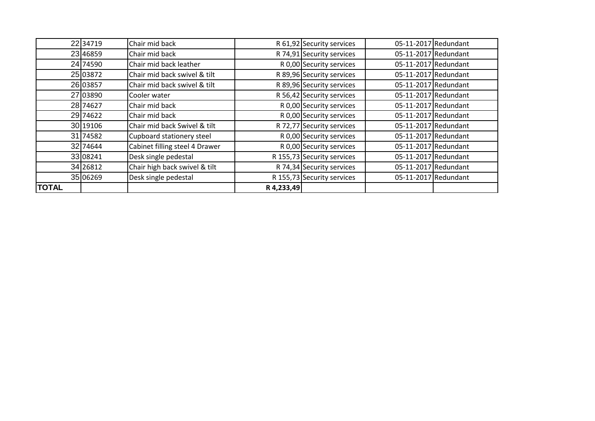|              | 22 34719 | Chair mid back                 |            | R 61,92 Security services  | 05-11-2017 Redundant |  |
|--------------|----------|--------------------------------|------------|----------------------------|----------------------|--|
|              | 23 46859 | Chair mid back                 |            | R 74,91 Security services  | 05-11-2017 Redundant |  |
|              | 24 74590 | Chair mid back leather         |            | R 0,00 Security services   | 05-11-2017 Redundant |  |
|              | 25 03872 | Chair mid back swivel & tilt   |            | R 89,96 Security services  | 05-11-2017 Redundant |  |
|              | 26 03857 | Chair mid back swivel & tilt   |            | R 89,96 Security services  | 05-11-2017 Redundant |  |
|              | 27 03890 | Cooler water                   |            | R 56,42 Security services  | 05-11-2017 Redundant |  |
|              | 28 74627 | Chair mid back                 |            | R 0,00 Security services   | 05-11-2017 Redundant |  |
|              | 29 74622 | Chair mid back                 |            | R 0,00 Security services   | 05-11-2017 Redundant |  |
|              | 30 19106 | Chair mid back Swivel & tilt   |            | R 72,77 Security services  | 05-11-2017 Redundant |  |
|              | 31 74582 | Cupboard stationery steel      |            | R 0,00 Security services   | 05-11-2017 Redundant |  |
|              | 32 74644 | Cabinet filling steel 4 Drawer |            | R 0,00 Security services   | 05-11-2017 Redundant |  |
|              | 33 08241 | Desk single pedestal           |            | R 155,73 Security services | 05-11-2017 Redundant |  |
|              | 34 26812 | Chair high back swivel & tilt  |            | R 74,34 Security services  | 05-11-2017 Redundant |  |
|              | 35 06269 | Desk single pedestal           |            | R 155,73 Security services | 05-11-2017 Redundant |  |
| <b>TOTAL</b> |          |                                | R 4,233,49 |                            |                      |  |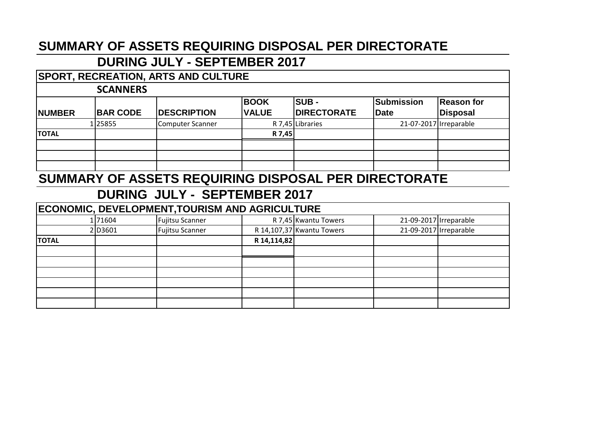#### **DURING JULY - SEPTEMBER 2017**

#### **SPORT, RECREATION, ARTS AND CULTURE**

#### **SCANNERS**

| <b>INUMBER</b> | <b>BAR CODE</b> | <b>DESCRIPTION</b> | <b>BOOK</b><br><b>VALUE</b> | <b>SUB-</b><br><b>DIRECTORATE</b> | Submission<br><b>Date</b> | Reason for<br>Disposal |
|----------------|-----------------|--------------------|-----------------------------|-----------------------------------|---------------------------|------------------------|
|                | 1 25855         | Computer Scanner   |                             | R 7,45 Libraries                  | 21-07-2017 Irreparable    |                        |
| <b>TOTAL</b>   |                 |                    | R 7,45                      |                                   |                           |                        |
|                |                 |                    |                             |                                   |                           |                        |
|                |                 |                    |                             |                                   |                           |                        |
|                |                 |                    |                             |                                   |                           |                        |

#### **SUMMARY OF ASSETS REQUIRING DISPOSAL PER DIRECTORATE**

| ECONOMIC, DEVELOPMENT, TOURISM AND AGRICULTURE |         |                        |             |                           |                        |  |  |  |  |
|------------------------------------------------|---------|------------------------|-------------|---------------------------|------------------------|--|--|--|--|
|                                                | 1 71604 | <b>Fujitsu Scanner</b> |             | R 7,45 Kwantu Towers      | 21-09-2017 Irreparable |  |  |  |  |
|                                                | 2D3601  | <b>Fujitsu Scanner</b> |             | R 14,107,37 Kwantu Towers | 21-09-2017 Irreparable |  |  |  |  |
| <b>TOTAL</b>                                   |         |                        | R 14,114,82 |                           |                        |  |  |  |  |
|                                                |         |                        |             |                           |                        |  |  |  |  |
|                                                |         |                        |             |                           |                        |  |  |  |  |
|                                                |         |                        |             |                           |                        |  |  |  |  |
|                                                |         |                        |             |                           |                        |  |  |  |  |
|                                                |         |                        |             |                           |                        |  |  |  |  |
|                                                |         |                        |             |                           |                        |  |  |  |  |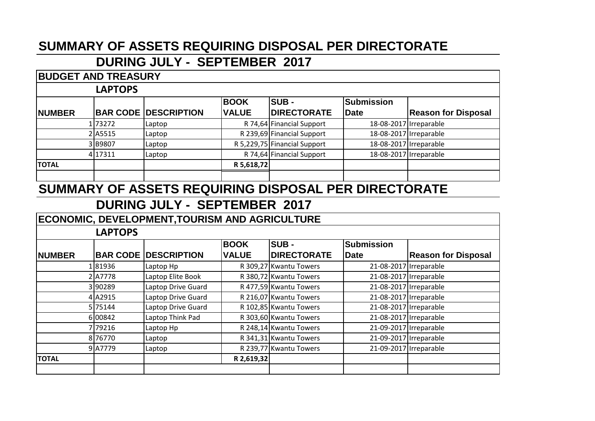#### **DURING JULY - SEPTEMBER 2017**

#### **NUMBER BAR CODE DESCRIPTION BOOK VALUE SUB - DIRECTORATE Submission Date Reason for Disposal** 1 73272 Laptop R 74,64 Financial Support 18-08-2017 Irreparable 2 A5515 Laptop R 239,69 Financial Support 18-08-2017 Irreparable 3 B9807 Laptop R 5,229,75 Financial Support 18-08-2017 Irreparable 4 17311 Laptop R 74,64 Financial Support 18-08-2017 Irreparable **TOTAL R 5,618,72 BUDGET AND TREASURY LAPTOPS**

## **SUMMARY OF ASSETS REQUIRING DISPOSAL PER DIRECTORATE**

## **DURING JULY - SEPTEMBER 2017**

#### **ECONOMIC, DEVELOPMENT,TOURISM AND AGRICULTURE**

#### **LAPTOPS**

|               |         |                             | <b>BOOK</b>  | SUB-                   | <b>Submission</b>      |                            |
|---------------|---------|-----------------------------|--------------|------------------------|------------------------|----------------------------|
| <b>NUMBER</b> |         | <b>BAR CODE DESCRIPTION</b> | <b>VALUE</b> | <b>DIRECTORATE</b>     | Date                   | <b>Reason for Disposal</b> |
|               | 181936  | Laptop Hp                   |              | R 309,27 Kwantu Towers |                        | 21-08-2017 Irreparable     |
|               | 2A7778  | Laptop Elite Book           |              | R 380,72 Kwantu Towers |                        | 21-08-2017 Irreparable     |
|               | 390289  | Laptop Drive Guard          |              | R 477,59 Kwantu Towers |                        | 21-08-2017 Irreparable     |
|               | 4A2915  | Laptop Drive Guard          |              | R 216,07 Kwantu Towers |                        | 21-08-2017 Irreparable     |
|               | 5 75144 | Laptop Drive Guard          |              | R 102,85 Kwantu Towers |                        | 21-08-2017 Irreparable     |
|               | 600842  | Laptop Think Pad            |              | R 303,60 Kwantu Towers |                        | 21-08-2017 Irreparable     |
|               | 779216  | Laptop Hp                   |              | R 248,14 Kwantu Towers |                        | 21-09-2017 Irreparable     |
|               | 8 76770 | Laptop                      |              | R 341,31 Kwantu Towers |                        | 21-09-2017 Irreparable     |
|               | 9A7779  | Laptop                      |              | R 239,77 Kwantu Towers | 21-09-2017 Irreparable |                            |
| <b>TOTAL</b>  |         |                             | R 2,619,32   |                        |                        |                            |
|               |         |                             |              |                        |                        |                            |